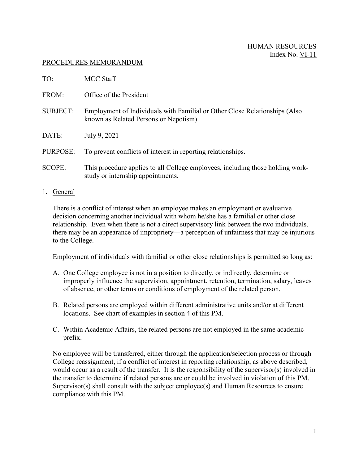#### PROCEDURES MEMORANDUM

| TO:             | MCC Staff                                                                                                           |  |
|-----------------|---------------------------------------------------------------------------------------------------------------------|--|
| FROM:           | Office of the President                                                                                             |  |
| <b>SUBJECT:</b> | Employment of Individuals with Familial or Other Close Relationships (Also<br>known as Related Persons or Nepotism) |  |
| DATE:           | July 9, 2021                                                                                                        |  |
| PURPOSE:        | To prevent conflicts of interest in reporting relationships.                                                        |  |
| <b>SCOPE:</b>   | This procedure applies to all College employees, including those holding work-<br>study or internship appointments. |  |

1. General

There is a conflict of interest when an employee makes an employment or evaluative decision concerning another individual with whom he/she has a familial or other close relationship. Even when there is not a direct supervisory link between the two individuals, there may be an appearance of impropriety—a perception of unfairness that may be injurious to the College.

Employment of individuals with familial or other close relationships is permitted so long as:

- A. One College employee is not in a position to directly, or indirectly, determine or improperly influence the supervision, appointment, retention, termination, salary, leaves of absence, or other terms or conditions of employment of the related person.
- B. Related persons are employed within different administrative units and/or at different locations. See chart of examples in section 4 of this PM.
- C. Within Academic Affairs, the related persons are not employed in the same academic prefix.

No employee will be transferred, either through the application/selection process or through College reassignment, if a conflict of interest in reporting relationship, as above described, would occur as a result of the transfer. It is the responsibility of the supervisor(s) involved in the transfer to determine if related persons are or could be involved in violation of this PM. Supervisor(s) shall consult with the subject employee(s) and Human Resources to ensure compliance with this PM.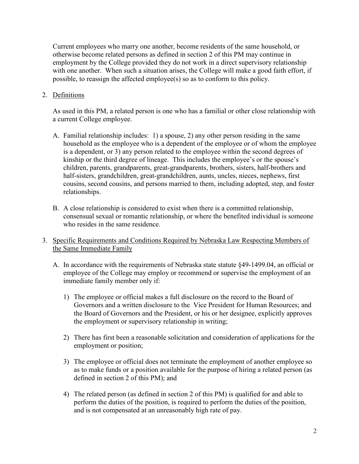Current employees who marry one another, become residents of the same household, or otherwise become related persons as defined in section 2 of this PM may continue in employment by the College provided they do not work in a direct supervisory relationship with one another. When such a situation arises, the College will make a good faith effort, if possible, to reassign the affected employee(s) so as to conform to this policy.

## 2. Definitions

As used in this PM, a related person is one who has a familial or other close relationship with a current College employee.

- A. Familial relationship includes: 1) a spouse, 2) any other person residing in the same household as the employee who is a dependent of the employee or of whom the employee is a dependent, or 3) any person related to the employee within the second degrees of kinship or the third degree of lineage. This includes the employee's or the spouse's children, parents, grandparents, great-grandparents, brothers, sisters, half-brothers and half-sisters, grandchildren, great-grandchildren, aunts, uncles, nieces, nephews, first cousins, second cousins, and persons married to them, including adopted, step, and foster relationships.
- B. A close relationship is considered to exist when there is a committed relationship, consensual sexual or romantic relationship, or where the benefited individual is someone who resides in the same residence.

# 3. Specific Requirements and Conditions Required by Nebraska Law Respecting Members of the Same Immediate Family

- A. In accordance with the requirements of Nebraska state statute §49-1499.04, an official or employee of the College may employ or recommend or supervise the employment of an immediate family member only if:
	- 1) The employee or official makes a full disclosure on the record to the Board of Governors and a written disclosure to the Vice President for Human Resources; and the Board of Governors and the President, or his or her designee, explicitly approves the employment or supervisory relationship in writing;
	- 2) There has first been a reasonable solicitation and consideration of applications for the employment or position;
	- 3) The employee or official does not terminate the employment of another employee so as to make funds or a position available for the purpose of hiring a related person (as defined in section 2 of this PM); and
	- 4) The related person (as defined in section 2 of this PM) is qualified for and able to perform the duties of the position, is required to perform the duties of the position, and is not compensated at an unreasonably high rate of pay.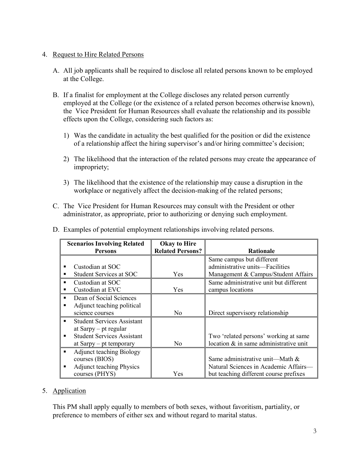## 4. Request to Hire Related Persons

- A. All job applicants shall be required to disclose all related persons known to be employed at the College.
- B. If a finalist for employment at the College discloses any related person currently employed at the College (or the existence of a related person becomes otherwise known), the Vice President for Human Resources shall evaluate the relationship and its possible effects upon the College, considering such factors as:
	- 1) Was the candidate in actuality the best qualified for the position or did the existence of a relationship affect the hiring supervisor's and/or hiring committee's decision;
	- 2) The likelihood that the interaction of the related persons may create the appearance of impropriety;
	- 3) The likelihood that the existence of the relationship may cause a disruption in the workplace or negatively affect the decision-making of the related persons;
- C. The Vice President for Human Resources may consult with the President or other administrator, as appropriate, prior to authorizing or denying such employment.

| <b>Scenarios Involving Related</b>                  | <b>Okay to Hire</b>     |                                        |
|-----------------------------------------------------|-------------------------|----------------------------------------|
| <b>Persons</b>                                      | <b>Related Persons?</b> | <b>Rationale</b>                       |
|                                                     |                         | Same campus but different              |
| Custodian at SOC                                    |                         | administrative units-Facilities        |
| Student Services at SOC                             | Yes                     | Management & Campus/Student Affairs    |
| Custodian at SOC                                    |                         | Same administrative unit but different |
| Custodian at EVC                                    | Yes                     | campus locations                       |
| Dean of Social Sciences                             |                         |                                        |
| Adjunct teaching political                          |                         |                                        |
| science courses                                     | N <sub>0</sub>          | Direct supervisory relationship        |
| <b>Student Services Assistant</b><br>$\blacksquare$ |                         |                                        |
| at Sarpy $-$ pt regular                             |                         |                                        |
| <b>Student Services Assistant</b>                   |                         | Two 'related persons' working at same  |
| at $Sary - pt$ temporary                            | No                      | location & in same administrative unit |
| <b>Adjunct teaching Biology</b>                     |                         |                                        |
| courses (BIOS)                                      |                         | Same administrative unit—Math $&$      |
| <b>Adjunct teaching Physics</b>                     |                         | Natural Sciences in Academic Affairs-  |
| courses (PHYS)                                      | Yes                     | but teaching different course prefixes |

D. Examples of potential employment relationships involving related persons.

#### 5. Application

This PM shall apply equally to members of both sexes, without favoritism, partiality, or preference to members of either sex and without regard to marital status.